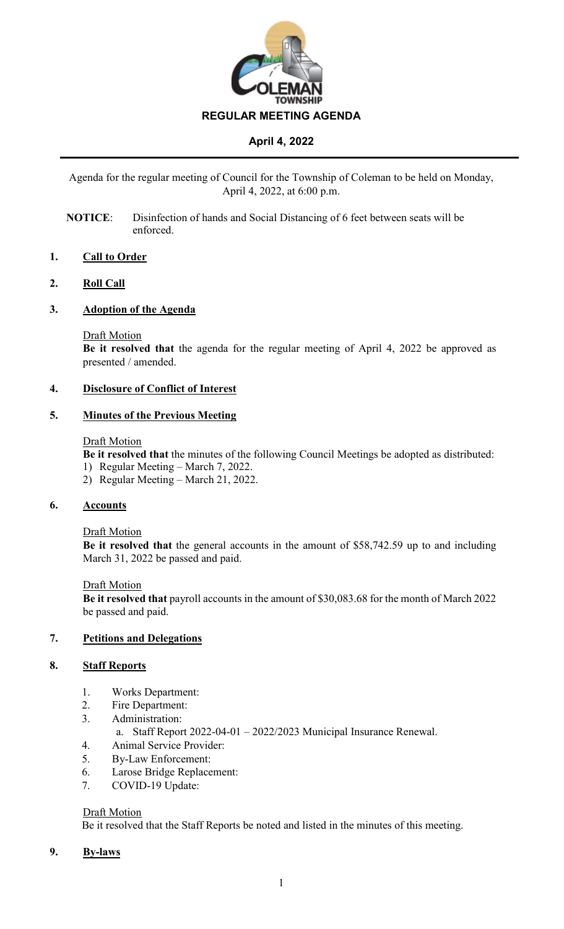

Agenda for the regular meeting of Council for the Township of Coleman to be held on Monday, April 4, 2022, at 6:00 p.m.

**NOTICE**: Disinfection of hands and Social Distancing of 6 feet between seats will be enforced.

### **1. Call to Order**

### **2. Roll Call**

### **3. Adoption of the Agenda**

#### Draft Motion

**Be it resolved that** the agenda for the regular meeting of April 4, 2022 be approved as presented / amended.

## **4. Disclosure of Conflict of Interest**

### **5. Minutes of the Previous Meeting**

#### Draft Motion

**Be it resolved that** the minutes of the following Council Meetings be adopted as distributed:

- 1) Regular Meeting March 7, 2022.
- 2) Regular Meeting March 21, 2022.

### **6. Accounts**

### Draft Motion

**Be it resolved that** the general accounts in the amount of \$58,742.59 up to and including March 31, 2022 be passed and paid.

### Draft Motion

**Be it resolved that** payroll accounts in the amount of \$30,083.68 for the month of March 2022 be passed and paid.

### **7. Petitions and Delegations**

### **8. Staff Reports**

- 1. Works Department:
- 2. Fire Department:
- 3. Administration:
	- a. Staff Report 2022-04-01 2022/2023 Municipal Insurance Renewal.
- 4. Animal Service Provider:
- 5. By-Law Enforcement:
- 6. Larose Bridge Replacement:
- 7. COVID-19 Update:

### Draft Motion

Be it resolved that the Staff Reports be noted and listed in the minutes of this meeting.

### **9. By-laws**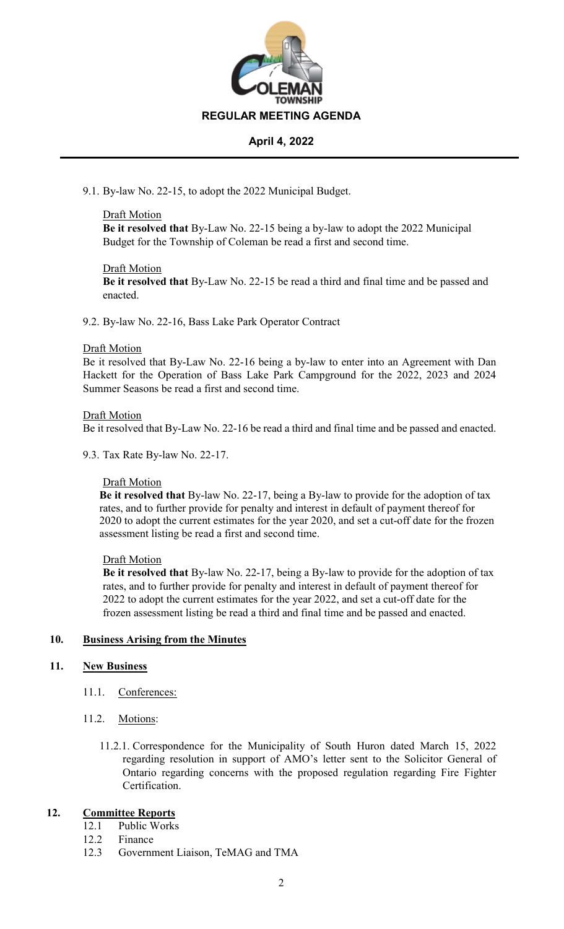

9.1. By-law No. 22-15, to adopt the 2022 Municipal Budget.

### Draft Motion

**Be it resolved that** By-Law No. 22-15 being a by-law to adopt the 2022 Municipal Budget for the Township of Coleman be read a first and second time.

### Draft Motion

**Be it resolved that** By-Law No. 22-15 be read a third and final time and be passed and enacted.

9.2. By-law No. 22-16, Bass Lake Park Operator Contract

#### Draft Motion

Be it resolved that By-Law No. 22-16 being a by-law to enter into an Agreement with Dan Hackett for the Operation of Bass Lake Park Campground for the 2022, 2023 and 2024 Summer Seasons be read a first and second time.

#### Draft Motion

Be it resolved that By-Law No. 22-16 be read a third and final time and be passed and enacted.

9.3. Tax Rate By-law No. 22-17.

### Draft Motion

**Be it resolved that** By-law No. 22-17, being a By-law to provide for the adoption of tax rates, and to further provide for penalty and interest in default of payment thereof for 2020 to adopt the current estimates for the year 2020, and set a cut-off date for the frozen assessment listing be read a first and second time.

### Draft Motion

**Be it resolved that** By-law No. 22-17, being a By-law to provide for the adoption of tax rates, and to further provide for penalty and interest in default of payment thereof for 2022 to adopt the current estimates for the year 2022, and set a cut-off date for the frozen assessment listing be read a third and final time and be passed and enacted.

### **10. Business Arising from the Minutes**

### **11. New Business**

- 11.1. Conferences:
- 11.2. Motions:
	- 11.2.1. Correspondence for the Municipality of South Huron dated March 15, 2022 regarding resolution in support of AMO's letter sent to the Solicitor General of Ontario regarding concerns with the proposed regulation regarding Fire Fighter Certification.

# **12. Committee Reports**

- 12.1 Public Works
- 12.2 Finance
- 12.3 Government Liaison, TeMAG and TMA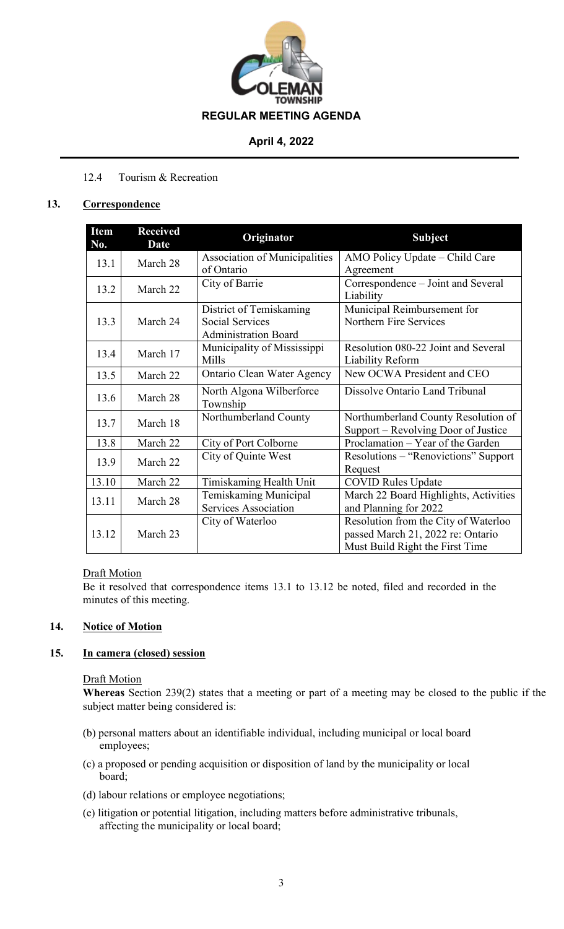

# 12.4 Tourism & Recreation

## **13. Correspondence**

| Item<br>No.      | <b>Received</b><br><b>Date</b> | Originator                    | <b>Subject</b>                                  |
|------------------|--------------------------------|-------------------------------|-------------------------------------------------|
| 13.1<br>March 28 |                                | Association of Municipalities | AMO Policy Update – Child Care                  |
|                  |                                | of Ontario                    | Agreement                                       |
| 13.2             | March 22                       | City of Barrie                | Correspondence – Joint and Several<br>Liability |
|                  |                                | District of Temiskaming       | Municipal Reimbursement for                     |
| 13.3             | March 24                       | <b>Social Services</b>        | Northern Fire Services                          |
|                  |                                |                               |                                                 |
|                  |                                | <b>Administration Board</b>   |                                                 |
| 13.4             | March 17                       | Municipality of Mississippi   | Resolution 080-22 Joint and Several             |
|                  |                                | Mills                         | Liability Reform                                |
| 13.5             | March 22                       | Ontario Clean Water Agency    | New OCWA President and CEO                      |
|                  | March 28                       | North Algona Wilberforce      | Dissolve Ontario Land Tribunal                  |
| 13.6             |                                | Township                      |                                                 |
|                  | March 18                       | Northumberland County         | Northumberland County Resolution of             |
| 13.7             |                                |                               | Support – Revolving Door of Justice             |
| 13.8             | March 22                       | City of Port Colborne         | Proclamation - Year of the Garden               |
| 13.9             | March 22                       | City of Quinte West           | Resolutions – "Renovictions" Support            |
|                  |                                |                               | Request                                         |
| 13.10            | March 22                       | Timiskaming Health Unit       | <b>COVID Rules Update</b>                       |
| 13.11            | March 28                       | Temiskaming Municipal         | March 22 Board Highlights, Activities           |
|                  |                                | <b>Services Association</b>   | and Planning for 2022                           |
|                  |                                | City of Waterloo              | Resolution from the City of Waterloo            |
| 13.12            | March 23                       |                               | passed March 21, 2022 re: Ontario               |
|                  |                                |                               | Must Build Right the First Time                 |

### Draft Motion

Be it resolved that correspondence items 13.1 to 13.12 be noted, filed and recorded in the minutes of this meeting.

## **14. Notice of Motion**

# **15. In camera (closed) session**

### **Draft Motion**

**Whereas** Section 239(2) states that a meeting or part of a meeting may be closed to the public if the subject matter being considered is:

- (b) personal matters about an identifiable individual, including municipal or local board employees;
- (c) a proposed or pending acquisition or disposition of land by the municipality or local board;
- (d) labour relations or employee negotiations;
- (e) litigation or potential litigation, including matters before administrative tribunals, affecting the municipality or local board;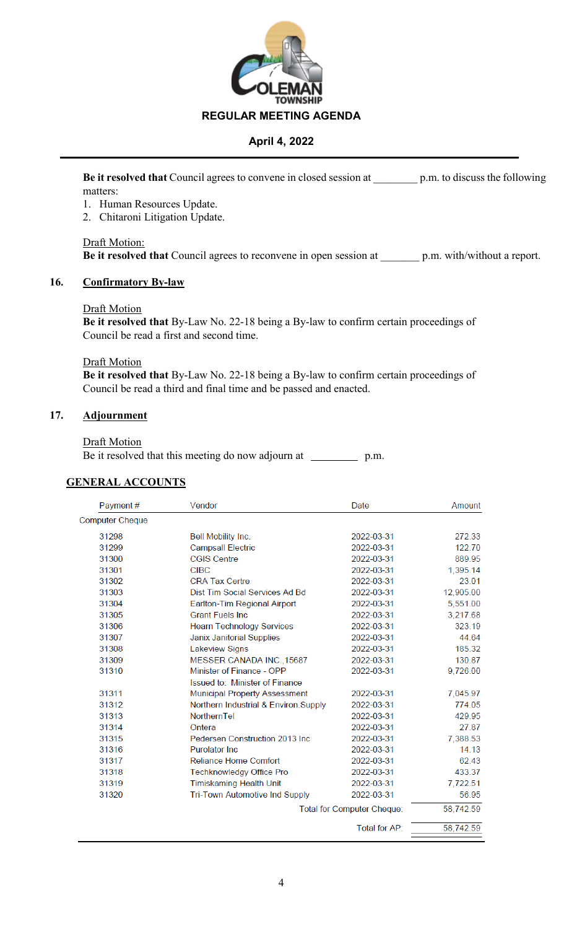

**Be it resolved that** Council agrees to convene in closed session at \_\_\_\_\_\_\_\_ p.m. to discuss the following matters:

- 1. Human Resources Update.
- 2. Chitaroni Litigation Update.

Draft Motion: **Be it resolved that** Council agrees to reconvene in open session at p.m. with/without a report.

#### **16. Confirmatory By-law**

#### Draft Motion

**Be it resolved that** By-Law No. 22-18 being a By-law to confirm certain proceedings of Council be read a first and second time.

#### Draft Motion

**Be it resolved that** By-Law No. 22-18 being a By-law to confirm certain proceedings of Council be read a third and final time and be passed and enacted.

### **17. Adjournment**

#### **Draft Motion**

|  |  |  |  | Be it resolved that this meeting do now adjourn at |  | p.m. |
|--|--|--|--|----------------------------------------------------|--|------|
|  |  |  |  |                                                    |  |      |

# **GENERAL ACCOUNTS**

| Payment#               | Vendor                                | Date          | Amount    |
|------------------------|---------------------------------------|---------------|-----------|
| <b>Computer Cheque</b> |                                       |               |           |
| 31298                  | Bell Mobility Inc.                    | 2022-03-31    | 272.33    |
| 31299                  | <b>Campsall Electric</b>              | 2022-03-31    | 122.70    |
| 31300                  | <b>CGIS Centre</b>                    | 2022-03-31    | 889.95    |
| 31301                  | <b>CIBC</b>                           | 2022-03-31    | 1,395.14  |
| 31302                  | <b>CRA Tax Certre</b>                 | 2022-03-31    | 23.01     |
| 31303                  | Dist Tim Social Services Ad Bd        | 2022-03-31    | 12,905.00 |
| 31304                  | Earlton-Tim Regional Airport          | 2022-03-31    | 5,551.00  |
| 31305                  | <b>Grant Fuels Inc.</b>               | 2022-03-31    | 3,217.68  |
| 31306                  | <b>Hearn Technology Services</b>      | 2022-03-31    | 323.19    |
| 31307                  | <b>Janix Janitorial Supplies</b>      | 2022-03-31    | 44.64     |
| 31308                  | <b>Lakeview Signs</b>                 | 2022-03-31    | 185.32    |
| 31309                  | MESSER CANADA INC., 15687             | 2022-03-31    | 130.87    |
| 31310                  | Minister of Finance - OPP             | 2022-03-31    | 9,726.00  |
|                        | Issued to: Minister of Finance        |               |           |
| 31311                  | <b>Municipal Property Assessment</b>  | 2022-03-31    | 7,045.97  |
| 31312                  | Northern Industrial & Environ.Supply  | 2022-03-31    | 774.05    |
| 31313                  | NorthernTel                           | 2022-03-31    | 429.95    |
| 31314                  | Ontera                                | 2022-03-31    | 27.87     |
| 31315                  | Pedersen Construction 2013 Inc.       | 2022-03-31    | 7,388.53  |
| 31316                  | <b>Purolator Inc.</b>                 | 2022-03-31    | 14.13     |
| 31317                  | <b>Reliance Home Comfort</b>          | 2022-03-31    | 62.43     |
| 31318                  | <b>Techknowledgy Office Pro</b>       | 2022-03-31    | 433.37    |
| 31319                  | <b>Timiskaming Health Unit</b>        | 2022-03-31    | 7,722.51  |
| 31320                  | <b>Tri-Town Automotive Ind Supply</b> | 2022-03-31    | 56.95     |
|                        | Total for Computer Cheque:            |               | 58,742.59 |
|                        |                                       | Total for AP: | 58,742.59 |
|                        |                                       |               |           |